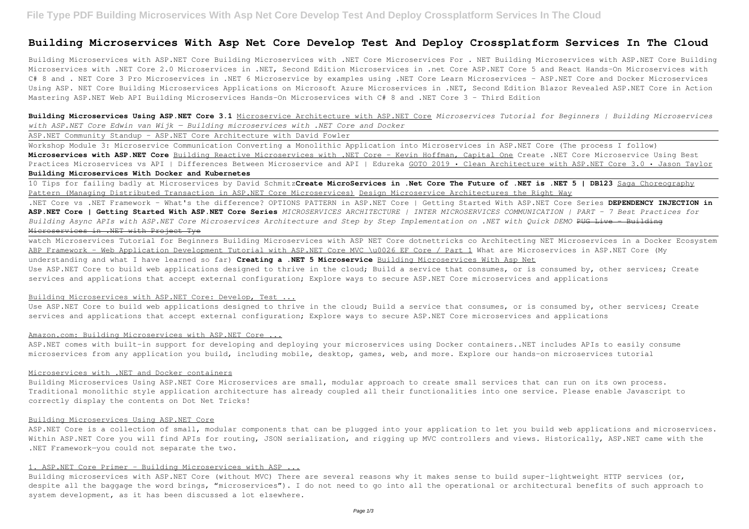# **Building Microservices With Asp Net Core Develop Test And Deploy Crossplatform Services In The Cloud**

Building Microservices with ASP.NET Core Building Microservices with .NET Core Microservices For . NET Building Microservices with ASP.NET Core Building Microservices with .NET Core 2.0 Microservices in .NET, Second Edition Microservices in .net Core ASP.NET Core 5 and React Hands-On Microservices with C# 8 and . NET Core 3 Pro Microservices in .NET 6 Microservice by examples using .NET Core Learn Microservices - ASP.NET Core and Docker Microservices Using ASP. NET Core Building Microservices Applications on Microsoft Azure Microservices in .NET, Second Edition Blazor Revealed ASP.NET Core in Action Mastering ASP.NET Web API Building Microservices Hands-On Microservices with C# 8 and .NET Core 3 - Third Edition

**Building Microservices Using ASP.NET Core 3.1** Microservice Architecture with ASP.NET Core *Microservices Tutorial for Beginners | Building Microservices with ASP.NET Core Edwin van Wijk — Building microservices with .NET Core and Docker*

ASP.NET Community Standup - ASP.NET Core Architecture with David Fowler

Workshop Module 3: Microservice Communication Converting a Monolithic Application into Microservices in ASP.NET Core (The process I follow) **Microservices with ASP.NET Core** Building Reactive Microservices with .NET Core - Kevin Hoffman, Capital One Create .NET Core Microservice Using Best Practices Microservices vs API | Differences Between Microservice and API | Edureka GOTO 2019 • Clean Architecture with ASP.NET Core 3.0 • Jason Taylor **Building Microservices With Docker and Kubernetes**

Use ASP.NET Core to build web applications designed to thrive in the cloud; Build a service that consumes, or is consumed by, other services; Create services and applications that accept external configuration; Explore ways to secure ASP.NET Core microservices and applications

#### Amazon.com: Building Microservices with ASP.NET Core ...

10 Tips for failing badly at Microservices by David Schmitz**Create MicroServices in .Net Core The Future of .NET is .NET 5 | DB123** Saga Choreography Pattern (Managing Distributed Transaction in ASP.NET Core Microservices) Design Microservice Architectures the Right Way .NET Core vs .NET Framework - What's the difference? OPTIONS PATTERN in ASP.NET Core | Getting Started With ASP.NET Core Series **DEPENDENCY INJECTION in ASP.NET Core | Getting Started With ASP.NET Core Series** *MICROSERVICES ARCHITECTURE | INTER MICROSERVICES COMMUNICATION | PART - 7 Best Practices for Building Async APIs with ASP.NET Core Microservices Architecture and Step by Step Implementation on .NET with Quick DEMO* PUG Live - Building Microservices in .NET with Project Tye

ASP.NET Core is a collection of small, modular components that can be plugged into your application to let you build web applications and microservices. Within ASP.NET Core you will find APIs for routing, JSON serialization, and rigging up MVC controllers and views. Historically, ASP.NET came with the .NET Framework—you could not separate the two.

watch Microservices Tutorial for Beginners Building Microservices with ASP NET Core dotnettricks co Architecting NET Microservices in a Docker Ecosystem ABP Framework - Web Application Development Tutorial with ASP.NET Core MVC \u0026 EF Core / Part 1 What are Microservices in ASP.NET Core (My understanding and what I have learned so far) **Creating a .NET 5 Microservice** Building Microservices With Asp Net Use ASP.NET Core to build web applications designed to thrive in the cloud; Build a service that consumes, or is consumed by, other services; Create services and applications that accept external configuration; Explore ways to secure ASP.NET Core microservices and applications

#### Building Microservices with ASP.NET Core: Develop, Test ...

ASP.NET comes with built-in support for developing and deploying your microservices using Docker containers..NET includes APIs to easily consume microservices from any application you build, including mobile, desktop, games, web, and more. Explore our hands-on microservices tutorial

#### Microservices with .NET and Docker containers

Building Microservices Using ASP.NET Core Microservices are small, modular approach to create small services that can run on its own process. Traditional monolithic style application architecture has already coupled all their functionalities into one service. Please enable Javascript to correctly display the contents on Dot Net Tricks!

#### Building Microservices Using ASP.NET Core

### 1. ASP.NET Core Primer - Building Microservices with ASP ...

Building microservices with ASP.NET Core (without MVC) There are several reasons why it makes sense to build super-lightweight HTTP services (or, despite all the baggage the word brings, "microservices"). I do not need to go into all the operational or architectural benefits of such approach to system development, as it has been discussed a lot elsewhere.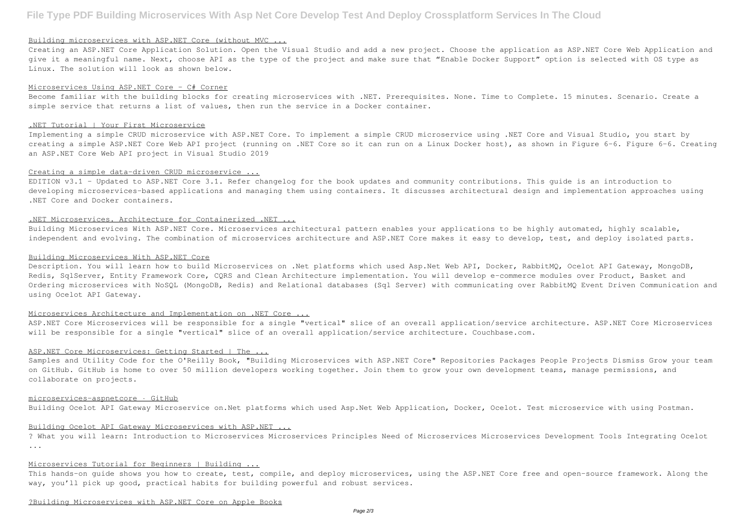#### Building microservices with ASP.NET Core (without MVC ...

Creating an ASP.NET Core Application Solution. Open the Visual Studio and add a new project. Choose the application as ASP.NET Core Web Application and give it a meaningful name. Next, choose API as the type of the project and make sure that "Enable Docker Support" option is selected with OS type as Linux. The solution will look as shown below.

### Microservices Using ASP.NET Core - C# Corner

Become familiar with the building blocks for creating microservices with .NET. Prerequisites. None. Time to Complete. 15 minutes. Scenario. Create a simple service that returns a list of values, then run the service in a Docker container.

#### .NET Tutorial | Your First Microservice

Implementing a simple CRUD microservice with ASP.NET Core. To implement a simple CRUD microservice using .NET Core and Visual Studio, you start by creating a simple ASP.NET Core Web API project (running on .NET Core so it can run on a Linux Docker host), as shown in Figure 6-6. Figure 6-6. Creating an ASP.NET Core Web API project in Visual Studio 2019

# Creating a simple data-driven CRUD microservice ...

EDITION v3.1 - Updated to ASP.NET Core 3.1. Refer changelog for the book updates and community contributions. This guide is an introduction to developing microservices-based applications and managing them using containers. It discusses architectural design and implementation approaches using .NET Core and Docker containers.

Samples and Utility Code for the O'Reilly Book, "Building Microservices with ASP.NET Core" Repositories Packages People Projects Dismiss Grow your team on GitHub. GitHub is home to over 50 million developers working together. Join them to grow your own development teams, manage permissions, and collaborate on projects.

# .NET Microservices. Architecture for Containerized .NET ...

Building Microservices With ASP.NET Core. Microservices architectural pattern enables your applications to be highly automated, highly scalable, independent and evolving. The combination of microservices architecture and ASP.NET Core makes it easy to develop, test, and deploy isolated parts.

This hands-on quide shows you how to create, test, compile, and deploy microservices, using the ASP.NET Core free and open-source framework. Along the way, you'll pick up good, practical habits for building powerful and robust services.

### Building Microservices With ASP.NET Core

Description. You will learn how to build Microservices on .Net platforms which used Asp.Net Web API, Docker, RabbitMQ, Ocelot API Gateway, MongoDB, Redis, SqlServer, Entity Framework Core, CQRS and Clean Architecture implementation. You will develop e-commerce modules over Product, Basket and Ordering microservices with NoSQL (MongoDB, Redis) and Relational databases (Sql Server) with communicating over RabbitMQ Event Driven Communication and using Ocelot API Gateway.

# Microservices Architecture and Implementation on .NET Core ...

ASP.NET Core Microservices will be responsible for a single "vertical" slice of an overall application/service architecture. ASP.NET Core Microservices will be responsible for a single "vertical" slice of an overall application/service architecture. Couchbase.com.

# ASP.NET Core Microservices: Getting Started | The ...

#### microservices-aspnetcore · GitHub

Building Ocelot API Gateway Microservice on.Net platforms which used Asp.Net Web Application, Docker, Ocelot. Test microservice with using Postman.

#### Building Ocelot API Gateway Microservices with ASP.NET ...

? What you will learn: Introduction to Microservices Microservices Principles Need of Microservices Microservices Development Tools Integrating Ocelot ...

### Microservices Tutorial for Beginners | Building ...

#### ?Building Microservices with ASP.NET Core on Apple Books